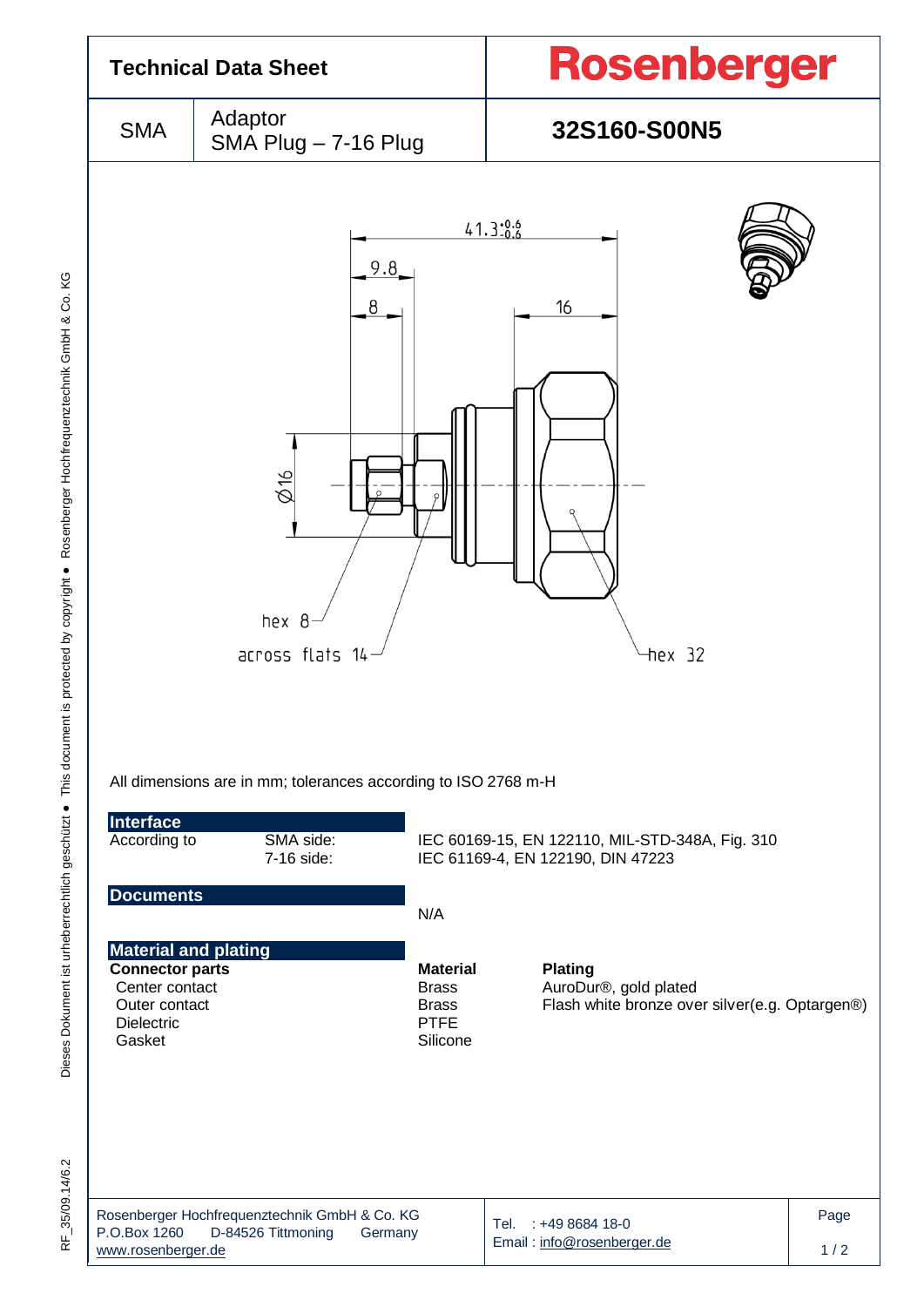

Dieses Dokument ist urheberrechtlich geschützt ● This document is protected by copyright ● Rosenberger Hochfrequenztechnik GmbH & Co. KG F\_35/09.14/6.2 Dieses Dokument ist urheberrechtlich geschützt ● This document is protected by copyright ● Rosenberger Hochfrequenztechnik GmbH & Co. KG

RF 35/09.14/6.2